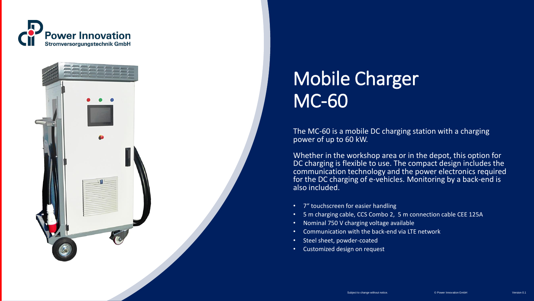



# Mobile Charger MC-60

The MC-60 is a mobile DC charging station with a charging power of up to 60 kW.

Whether in the workshop area or in the depot, this option for DC charging is flexible to use. The compact design includes the communication technology and the power electronics required for the DC charging of e-vehicles. Monitoring by a back-end is also included.

- 7" touchscreen for easier handling
- 5 m charging cable, CCS Combo 2, 5 m connection cable CEE 125A
- Nominal 750 V charging voltage available
- Communication with the back-end via LTE network
- Steel sheet, powder-coated
- Customized design on request